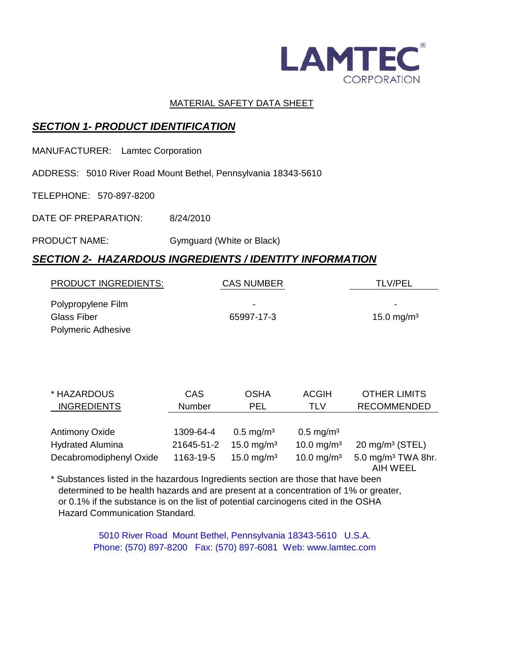

#### MATERIAL SAFETY DATA SHEET

# *SECTION 1- PRODUCT IDENTIFICATION*

MANUFACTURER: Lamtec Corporation

ADDRESS: 5010 River Road Mount Bethel, Pennsylvania 18343-5610

TELEPHONE: 570-897-8200

DATE OF PREPARATION: 8/24/2010

#### PRODUCT NAME: Gymguard (White or Black)

## *SECTION 2- HAZARDOUS INGREDIENTS / IDENTITY INFORMATION*

| <b>PRODUCT INGREDIENTS:</b> | <b>CAS NUMBER</b> | <b>TLV/PEL</b>         |
|-----------------------------|-------------------|------------------------|
| Polypropylene Film          | ۰                 | ۰                      |
| Glass Fiber                 | 65997-17-3        | 15.0 mg/m <sup>3</sup> |
| <b>Polymeric Adhesive</b>   |                   |                        |

| * HAZARDOUS             | CAS        | <b>OSHA</b>             | <b>ACGIH</b>            | <b>OTHER LIMITS</b>                        |
|-------------------------|------------|-------------------------|-------------------------|--------------------------------------------|
| <b>INGREDIENTS</b>      | Number     | PEL                     | <b>TLV</b>              | <b>RECOMMENDED</b>                         |
|                         |            |                         |                         |                                            |
| <b>Antimony Oxide</b>   | 1309-64-4  | $0.5 \,\mathrm{mg/m^3}$ | $0.5 \,\mathrm{mg/m^3}$ |                                            |
| <b>Hydrated Alumina</b> | 21645-51-2 | 15.0 mg/m <sup>3</sup>  | 10.0 mg/m <sup>3</sup>  | $20 \text{ mg/m}^3$ (STEL)                 |
| Decabromodiphenyl Oxide | 1163-19-5  | 15.0 mg/m <sup>3</sup>  | 10.0 mg/m <sup>3</sup>  | 5.0 mg/m <sup>3</sup> TWA 8hr.<br>AIH WEEL |

\* Substances listed in the hazardous Ingredients section are those that have been determined to be health hazards and are present at a concentration of 1% or greater, or 0.1% if the substance is on the list of potential carcinogens cited in the OSHA Hazard Communication Standard.

> 5010 River Road Mount Bethel, Pennsylvania 18343-5610 U.S.A. Phone: (570) 897-8200 Fax: (570) 897-6081 Web: www.lamtec.com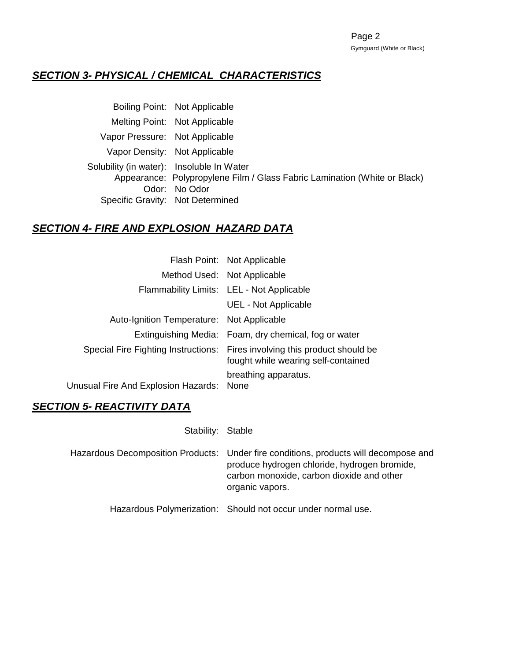# *SECTION 3- PHYSICAL / CHEMICAL CHARACTERISTICS*

|                                           | Boiling Point: Not Applicable                                             |
|-------------------------------------------|---------------------------------------------------------------------------|
|                                           | Melting Point: Not Applicable                                             |
| Vapor Pressure: Not Applicable            |                                                                           |
|                                           | Vapor Density: Not Applicable                                             |
| Solubility (in water): Insoluble In Water |                                                                           |
|                                           | Appearance: Polypropylene Film / Glass Fabric Lamination (White or Black) |
|                                           | Odor: No Odor                                                             |
|                                           | Specific Gravity: Not Determined                                          |
|                                           |                                                                           |

## *SECTION 4- FIRE AND EXPLOSION HAZARD DATA*

|                                           | Flash Point: Not Applicable                                                                                       |
|-------------------------------------------|-------------------------------------------------------------------------------------------------------------------|
|                                           | Method Used: Not Applicable                                                                                       |
|                                           | Flammability Limits: LEL - Not Applicable                                                                         |
|                                           | <b>UEL - Not Applicable</b>                                                                                       |
| Auto-Ignition Temperature: Not Applicable |                                                                                                                   |
|                                           | Extinguishing Media: Foam, dry chemical, fog or water                                                             |
|                                           | Special Fire Fighting Instructions: Fires involving this product should be<br>fought while wearing self-contained |
| Unusual Fire And Explosion Hazards:       | breathing apparatus.<br>None                                                                                      |

#### *SECTION 5- REACTIVITY DATA*

| Stability: Stable |                                                                                                                                                                                                      |
|-------------------|------------------------------------------------------------------------------------------------------------------------------------------------------------------------------------------------------|
|                   | Hazardous Decomposition Products: Under fire conditions, products will decompose and<br>produce hydrogen chloride, hydrogen bromide,<br>carbon monoxide, carbon dioxide and other<br>organic vapors. |
|                   | Hazardous Polymerization: Should not occur under normal use.                                                                                                                                         |